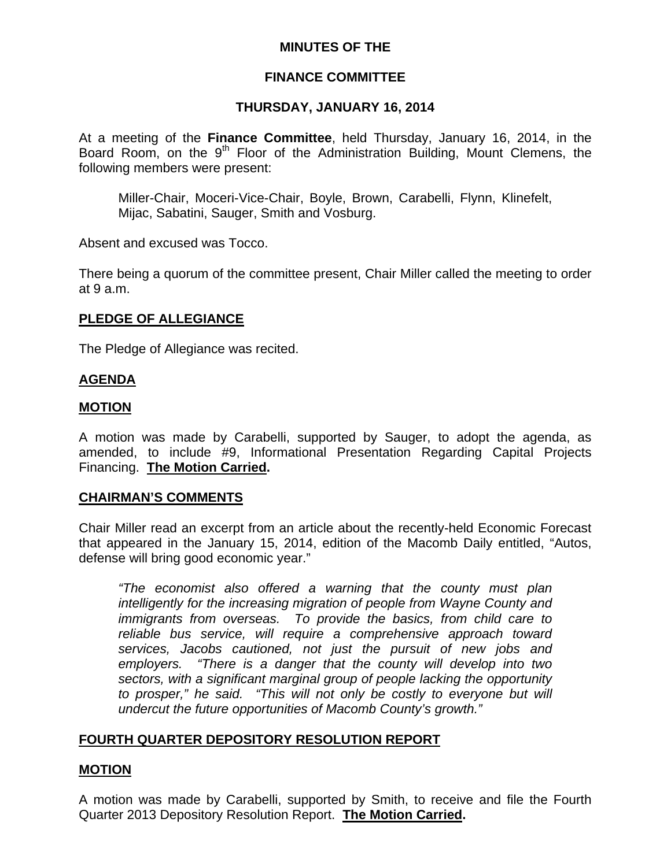# **MINUTES OF THE**

## **FINANCE COMMITTEE**

## **THURSDAY, JANUARY 16, 2014**

At a meeting of the **Finance Committee**, held Thursday, January 16, 2014, in the Board Room, on the 9<sup>th</sup> Floor of the Administration Building, Mount Clemens, the following members were present:

Miller-Chair, Moceri-Vice-Chair, Boyle, Brown, Carabelli, Flynn, Klinefelt, Mijac, Sabatini, Sauger, Smith and Vosburg.

Absent and excused was Tocco.

There being a quorum of the committee present, Chair Miller called the meeting to order at 9 a.m.

## **PLEDGE OF ALLEGIANCE**

The Pledge of Allegiance was recited.

## **AGENDA**

## **MOTION**

A motion was made by Carabelli, supported by Sauger, to adopt the agenda, as amended, to include #9, Informational Presentation Regarding Capital Projects Financing. **The Motion Carried.** 

### **CHAIRMAN'S COMMENTS**

Chair Miller read an excerpt from an article about the recently-held Economic Forecast that appeared in the January 15, 2014, edition of the Macomb Daily entitled, "Autos, defense will bring good economic year."

*"The economist also offered a warning that the county must plan intelligently for the increasing migration of people from Wayne County and immigrants from overseas. To provide the basics, from child care to reliable bus service, will require a comprehensive approach toward services, Jacobs cautioned, not just the pursuit of new jobs and employers. "There is a danger that the county will develop into two sectors, with a significant marginal group of people lacking the opportunity to prosper," he said. "This will not only be costly to everyone but will undercut the future opportunities of Macomb County's growth."* 

# **FOURTH QUARTER DEPOSITORY RESOLUTION REPORT**

# **MOTION**

A motion was made by Carabelli, supported by Smith, to receive and file the Fourth Quarter 2013 Depository Resolution Report. **The Motion Carried.**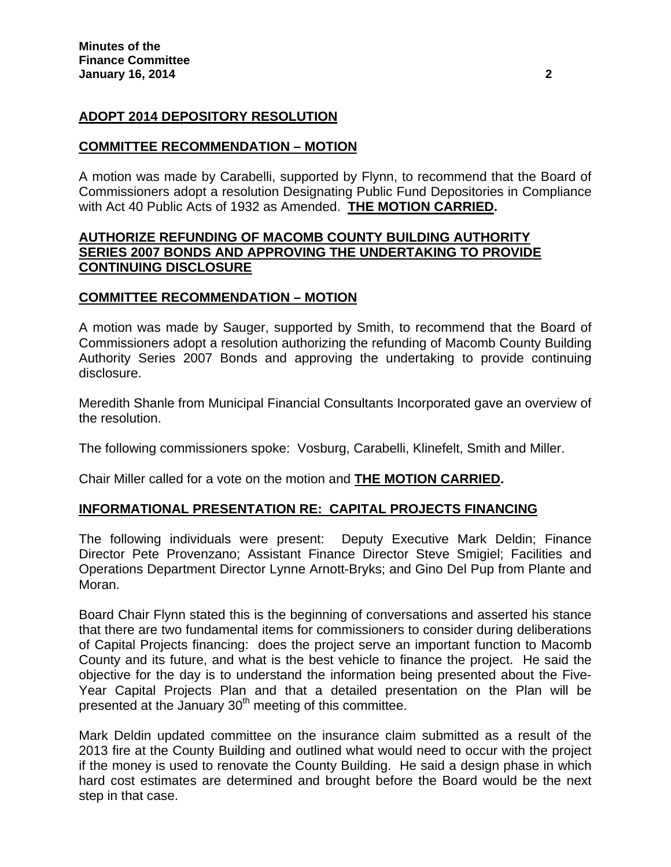# **ADOPT 2014 DEPOSITORY RESOLUTION**

## **COMMITTEE RECOMMENDATION – MOTION**

A motion was made by Carabelli, supported by Flynn, to recommend that the Board of Commissioners adopt a resolution Designating Public Fund Depositories in Compliance with Act 40 Public Acts of 1932 as Amended. **THE MOTION CARRIED.** 

# **AUTHORIZE REFUNDING OF MACOMB COUNTY BUILDING AUTHORITY SERIES 2007 BONDS AND APPROVING THE UNDERTAKING TO PROVIDE CONTINUING DISCLOSURE**

## **COMMITTEE RECOMMENDATION – MOTION**

A motion was made by Sauger, supported by Smith, to recommend that the Board of Commissioners adopt a resolution authorizing the refunding of Macomb County Building Authority Series 2007 Bonds and approving the undertaking to provide continuing disclosure.

Meredith Shanle from Municipal Financial Consultants Incorporated gave an overview of the resolution.

The following commissioners spoke: Vosburg, Carabelli, Klinefelt, Smith and Miller.

Chair Miller called for a vote on the motion and **THE MOTION CARRIED.** 

# **INFORMATIONAL PRESENTATION RE: CAPITAL PROJECTS FINANCING**

The following individuals were present: Deputy Executive Mark Deldin; Finance Director Pete Provenzano; Assistant Finance Director Steve Smigiel; Facilities and Operations Department Director Lynne Arnott-Bryks; and Gino Del Pup from Plante and Moran.

Board Chair Flynn stated this is the beginning of conversations and asserted his stance that there are two fundamental items for commissioners to consider during deliberations of Capital Projects financing: does the project serve an important function to Macomb County and its future, and what is the best vehicle to finance the project. He said the objective for the day is to understand the information being presented about the Five-Year Capital Projects Plan and that a detailed presentation on the Plan will be presented at the January 30<sup>th</sup> meeting of this committee.

Mark Deldin updated committee on the insurance claim submitted as a result of the 2013 fire at the County Building and outlined what would need to occur with the project if the money is used to renovate the County Building. He said a design phase in which hard cost estimates are determined and brought before the Board would be the next step in that case.